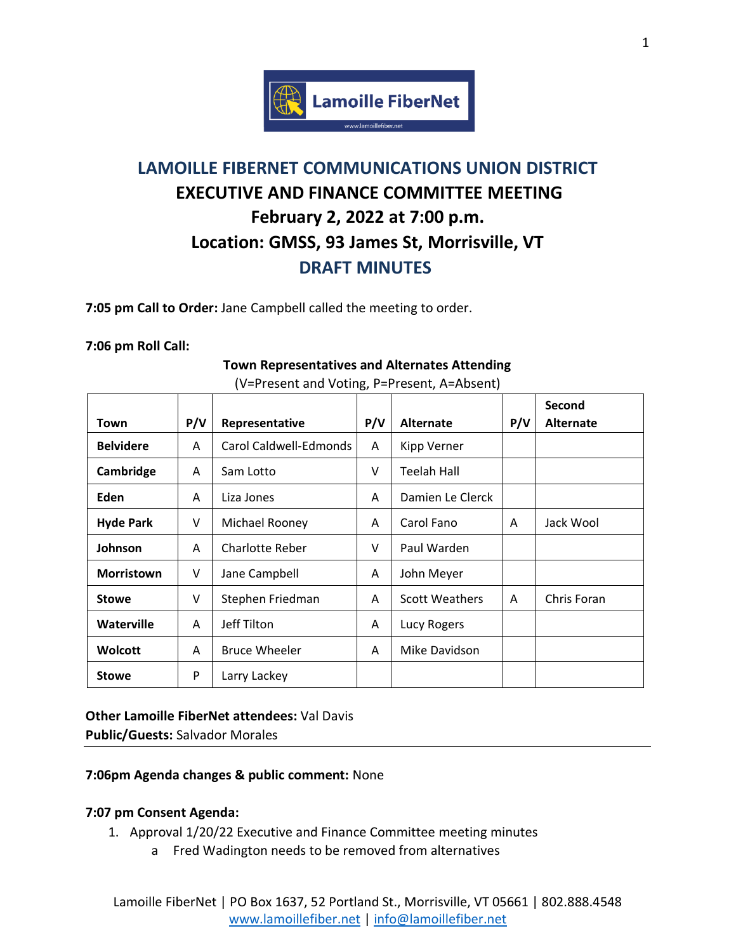

# **LAMOILLE FIBERNET COMMUNICATIONS UNION DISTRICT EXECUTIVE AND FINANCE COMMITTEE MEETING February 2, 2022 at 7:00 p.m. Location: GMSS, 93 James St, Morrisville, VT DRAFT MINUTES**

**7:05 pm Call to Order:** Jane Campbell called the meeting to order.

#### **7:06 pm Roll Call:**

|                   |     |                        |     |                       |              | Second           |
|-------------------|-----|------------------------|-----|-----------------------|--------------|------------------|
| Town              | P/V | Representative         | P/V | <b>Alternate</b>      | P/V          | <b>Alternate</b> |
| <b>Belvidere</b>  | A   | Carol Caldwell-Edmonds | A   | <b>Kipp Verner</b>    |              |                  |
| Cambridge         | A   | Sam Lotto              | V   | Teelah Hall           |              |                  |
| Eden              | A   | Liza Jones             | A   | Damien Le Clerck      |              |                  |
| <b>Hyde Park</b>  | V   | Michael Rooney         | A   | Carol Fano            | A            | Jack Wool        |
| Johnson           | A   | Charlotte Reber        | V   | Paul Warden           |              |                  |
| <b>Morristown</b> | V   | Jane Campbell          | A   | John Meyer            |              |                  |
| <b>Stowe</b>      | V   | Stephen Friedman       | A   | <b>Scott Weathers</b> | $\mathsf{A}$ | Chris Foran      |
| <b>Waterville</b> | A   | Jeff Tilton            | A   | Lucy Rogers           |              |                  |
| <b>Wolcott</b>    | A   | <b>Bruce Wheeler</b>   | A   | Mike Davidson         |              |                  |
| <b>Stowe</b>      | P   | Larry Lackey           |     |                       |              |                  |

#### **Town Representatives and Alternates Attending** (V=Present and Voting, P=Present, A=Absent)

# **Other Lamoille FiberNet attendees:** Val Davis

**Public/Guests:** Salvador Morales

## **7:06pm Agenda changes & public comment:** None

## **7:07 pm Consent Agenda:**

- 1. Approval 1/20/22 Executive and Finance Committee meeting minutes
	- a Fred Wadington needs to be removed from alternatives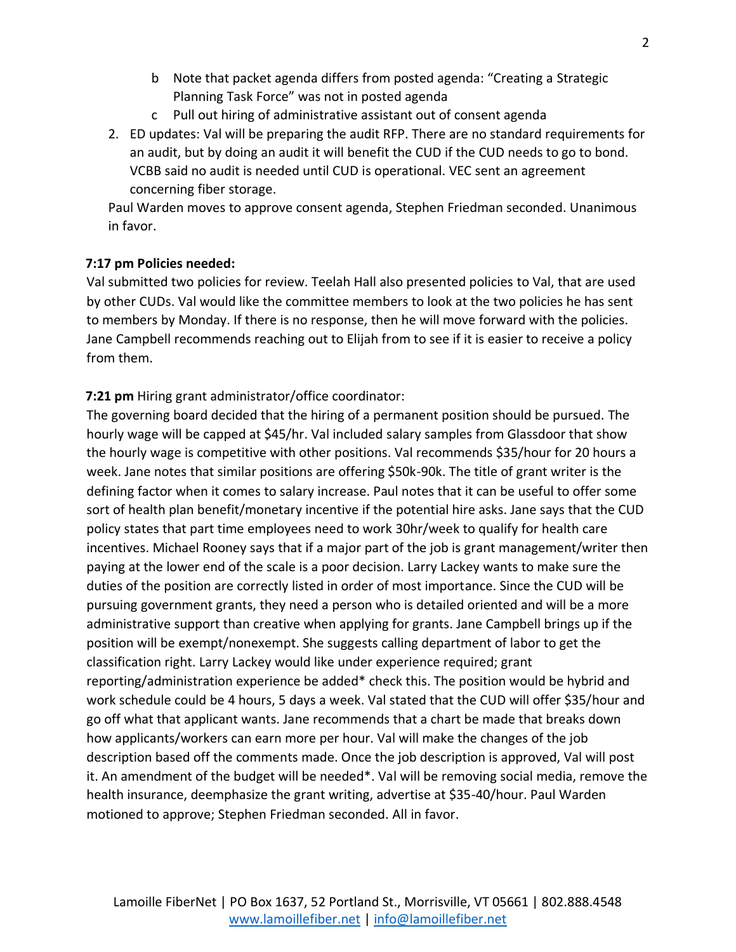- b Note that packet agenda differs from posted agenda: "Creating a Strategic Planning Task Force" was not in posted agenda
- c Pull out hiring of administrative assistant out of consent agenda
- 2. ED updates: Val will be preparing the audit RFP. There are no standard requirements for an audit, but by doing an audit it will benefit the CUD if the CUD needs to go to bond. VCBB said no audit is needed until CUD is operational. VEC sent an agreement concerning fiber storage.

Paul Warden moves to approve consent agenda, Stephen Friedman seconded. Unanimous in favor.

## **7:17 pm Policies needed:**

Val submitted two policies for review. Teelah Hall also presented policies to Val, that are used by other CUDs. Val would like the committee members to look at the two policies he has sent to members by Monday. If there is no response, then he will move forward with the policies. Jane Campbell recommends reaching out to Elijah from to see if it is easier to receive a policy from them.

**7:21 pm** Hiring grant administrator/office coordinator:

The governing board decided that the hiring of a permanent position should be pursued. The hourly wage will be capped at \$45/hr. Val included salary samples from Glassdoor that show the hourly wage is competitive with other positions. Val recommends \$35/hour for 20 hours a week. Jane notes that similar positions are offering \$50k-90k. The title of grant writer is the defining factor when it comes to salary increase. Paul notes that it can be useful to offer some sort of health plan benefit/monetary incentive if the potential hire asks. Jane says that the CUD policy states that part time employees need to work 30hr/week to qualify for health care incentives. Michael Rooney says that if a major part of the job is grant management/writer then paying at the lower end of the scale is a poor decision. Larry Lackey wants to make sure the duties of the position are correctly listed in order of most importance. Since the CUD will be pursuing government grants, they need a person who is detailed oriented and will be a more administrative support than creative when applying for grants. Jane Campbell brings up if the position will be exempt/nonexempt. She suggests calling department of labor to get the classification right. Larry Lackey would like under experience required; grant reporting/administration experience be added\* check this. The position would be hybrid and work schedule could be 4 hours, 5 days a week. Val stated that the CUD will offer \$35/hour and go off what that applicant wants. Jane recommends that a chart be made that breaks down how applicants/workers can earn more per hour. Val will make the changes of the job description based off the comments made. Once the job description is approved, Val will post it. An amendment of the budget will be needed\*. Val will be removing social media, remove the health insurance, deemphasize the grant writing, advertise at \$35-40/hour. Paul Warden motioned to approve; Stephen Friedman seconded. All in favor.